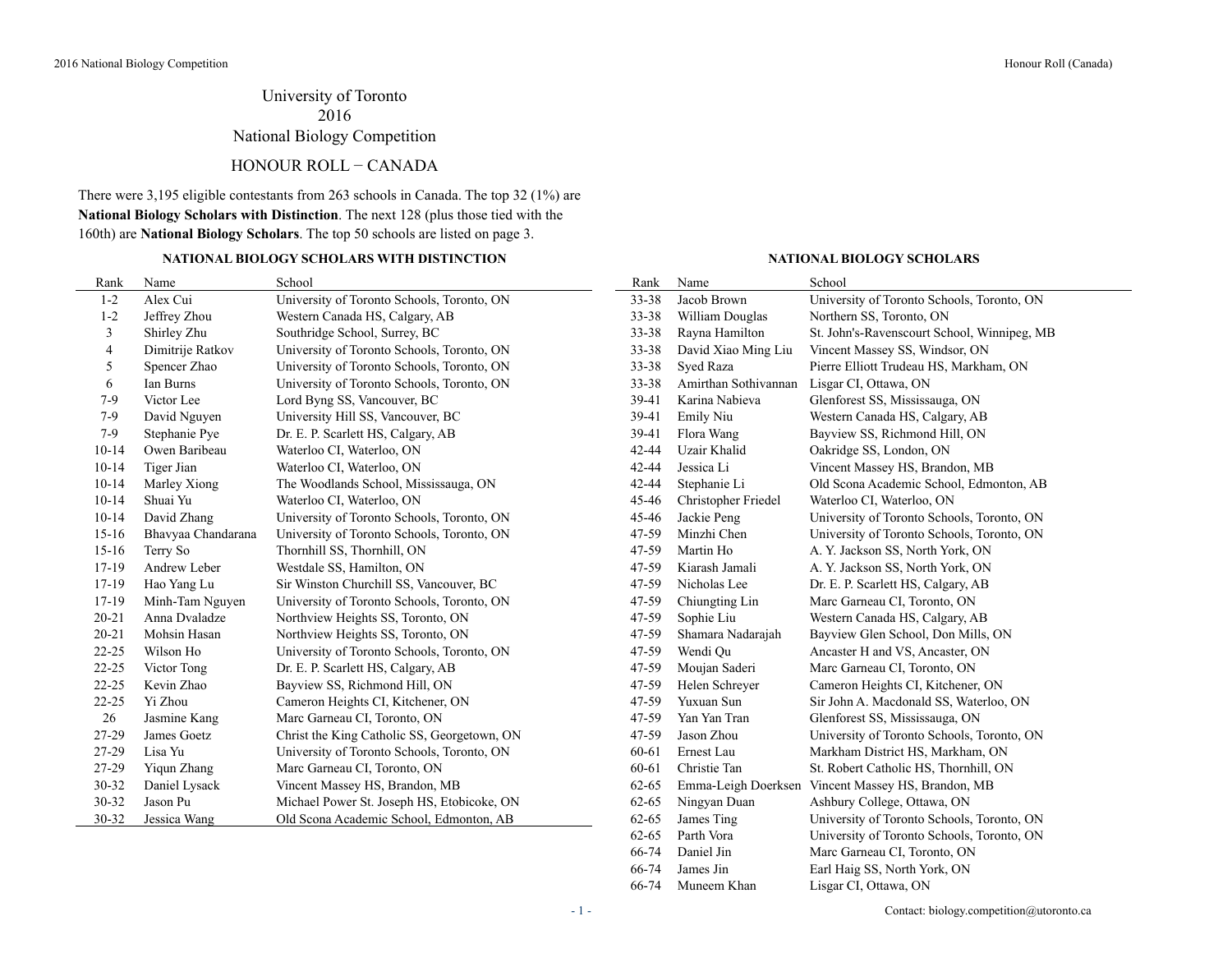# University of Toronto 2016 National Biology Competition

### HONOUR ROLL − CANADA

There were 3,195 eligible contestants from 263 schools in Canada. The top 32 (1%) are **National Biology Scholars with Distinction**. The next 128 (plus those tied with the 160th) are **National Biology Scholars**. The top 50 schools are listed on page 3.

### **NATIONAL BIOLOGY SCHOLARS WITH DISTINCTION NATIONAL BIOLOGY SCHOLARS**

66-74 James Jin Earl Haig SS, North York, ON 66-74 Muneem Khan Lisgar CI, Ottawa, ON

| Rank      | Name               | School                                      | Rank      | Name                 | School                                      |
|-----------|--------------------|---------------------------------------------|-----------|----------------------|---------------------------------------------|
| $1 - 2$   | Alex Cui           | University of Toronto Schools, Toronto, ON  | 33-38     | Jacob Brown          | University of Toronto Schools, Toronto, ON  |
| $1 - 2$   | Jeffrey Zhou       | Western Canada HS, Calgary, AB              | 33-38     | William Douglas      | Northern SS, Toronto, ON                    |
| 3         | Shirley Zhu        | Southridge School, Surrey, BC               | 33-38     | Rayna Hamilton       | St. John's-Ravenscourt School, Winnipeg, MB |
| 4         | Dimitrije Ratkov   | University of Toronto Schools, Toronto, ON  | 33-38     | David Xiao Ming Liu  | Vincent Massey SS, Windsor, ON              |
| 5         | Spencer Zhao       | University of Toronto Schools, Toronto, ON  | 33-38     | Sved Raza            | Pierre Elliott Trudeau HS, Markham, ON      |
| 6         | Ian Burns          | University of Toronto Schools, Toronto, ON  | $33 - 38$ | Amirthan Sothivannan | Lisgar CI, Ottawa, ON                       |
| $7-9$     | Victor Lee         | Lord Byng SS, Vancouver, BC                 | 39-41     | Karina Nabieva       | Glenforest SS, Mississauga, ON              |
| 7-9       | David Nguyen       | University Hill SS, Vancouver, BC           | 39-41     | Emily Niu            | Western Canada HS, Calgary, AB              |
| $7-9$     | Stephanie Pye      | Dr. E. P. Scarlett HS, Calgary, AB          | 39-41     | Flora Wang           | Bayview SS, Richmond Hill, ON               |
| $10-14$   | Owen Baribeau      | Waterloo CI, Waterloo, ON                   | 42-44     | Uzair Khalid         | Oakridge SS, London, ON                     |
| $10 - 14$ | Tiger Jian         | Waterloo CI, Waterloo, ON                   | 42-44     | Jessica Li           | Vincent Massey HS, Brandon, MB              |
| $10 - 14$ | Marley Xiong       | The Woodlands School, Mississauga, ON       | 42-44     | Stephanie Li         | Old Scona Academic School, Edmonton, AB     |
| $10-14$   | Shuai Yu           | Waterloo CI, Waterloo, ON                   | 45-46     | Christopher Friedel  | Waterloo CI, Waterloo, ON                   |
| $10-14$   | David Zhang        | University of Toronto Schools, Toronto, ON  | 45-46     | Jackie Peng          | University of Toronto Schools, Toronto, ON  |
| $15-16$   | Bhavyaa Chandarana | University of Toronto Schools, Toronto, ON  | 47-59     | Minzhi Chen          | University of Toronto Schools, Toronto, ON  |
| $15-16$   | Terry So           | Thornhill SS, Thornhill, ON                 | 47-59     | Martin Ho            | A. Y. Jackson SS, North York, ON            |
| 17-19     | Andrew Leber       | Westdale SS, Hamilton, ON                   | 47-59     | Kiarash Jamali       | A. Y. Jackson SS, North York, ON            |
| 17-19     | Hao Yang Lu        | Sir Winston Churchill SS, Vancouver, BC     | 47-59     | Nicholas Lee         | Dr. E. P. Scarlett HS, Calgary, AB          |
| $17-19$   | Minh-Tam Nguyen    | University of Toronto Schools, Toronto, ON  | 47-59     | Chiungting Lin       | Marc Garneau CI, Toronto, ON                |
| $20 - 21$ | Anna Dvaladze      | Northview Heights SS, Toronto, ON           | 47-59     | Sophie Liu           | Western Canada HS, Calgary, AB              |
| $20 - 21$ | Mohsin Hasan       | Northview Heights SS, Toronto, ON           | 47-59     | Shamara Nadarajah    | Bayview Glen School, Don Mills, ON          |
| $22 - 25$ | Wilson Ho          | University of Toronto Schools, Toronto, ON  | 47-59     | Wendi Qu             | Ancaster H and VS, Ancaster, ON             |
| $22 - 25$ | Victor Tong        | Dr. E. P. Scarlett HS, Calgary, AB          | 47-59     | Moujan Saderi        | Marc Garneau CI, Toronto, ON                |
| $22 - 25$ | Kevin Zhao         | Bayview SS, Richmond Hill, ON               | 47-59     | Helen Schreyer       | Cameron Heights CI, Kitchener, ON           |
| $22 - 25$ | Yi Zhou            | Cameron Heights CI, Kitchener, ON           | 47-59     | Yuxuan Sun           | Sir John A. Macdonald SS, Waterloo, ON      |
| 26        | Jasmine Kang       | Marc Garneau CI, Toronto, ON                | 47-59     | Yan Yan Tran         | Glenforest SS, Mississauga, ON              |
| 27-29     | James Goetz        | Christ the King Catholic SS, Georgetown, ON | 47-59     | Jason Zhou           | University of Toronto Schools, Toronto, ON  |
| 27-29     | Lisa Yu            | University of Toronto Schools, Toronto, ON  | 60-61     | Ernest Lau           | Markham District HS, Markham, ON            |
| 27-29     | Yiqun Zhang        | Marc Garneau CI, Toronto, ON                | 60-61     | Christie Tan         | St. Robert Catholic HS, Thornhill, ON       |
| $30 - 32$ | Daniel Lysack      | Vincent Massey HS, Brandon, MB              | 62-65     | Emma-Leigh Doerksen  | Vincent Massey HS, Brandon, MB              |
| 30-32     | Jason Pu           | Michael Power St. Joseph HS, Etobicoke, ON  | 62-65     | Ningyan Duan         | Ashbury College, Ottawa, ON                 |
| 30-32     | Jessica Wang       | Old Scona Academic School, Edmonton, AB     | $62 - 65$ | James Ting           | University of Toronto Schools, Toronto, ON  |
|           |                    |                                             | $62 - 65$ | Parth Vora           | University of Toronto Schools, Toronto, ON  |
|           |                    |                                             | 66-74     | Daniel Jin           | Marc Garneau CI, Toronto, ON                |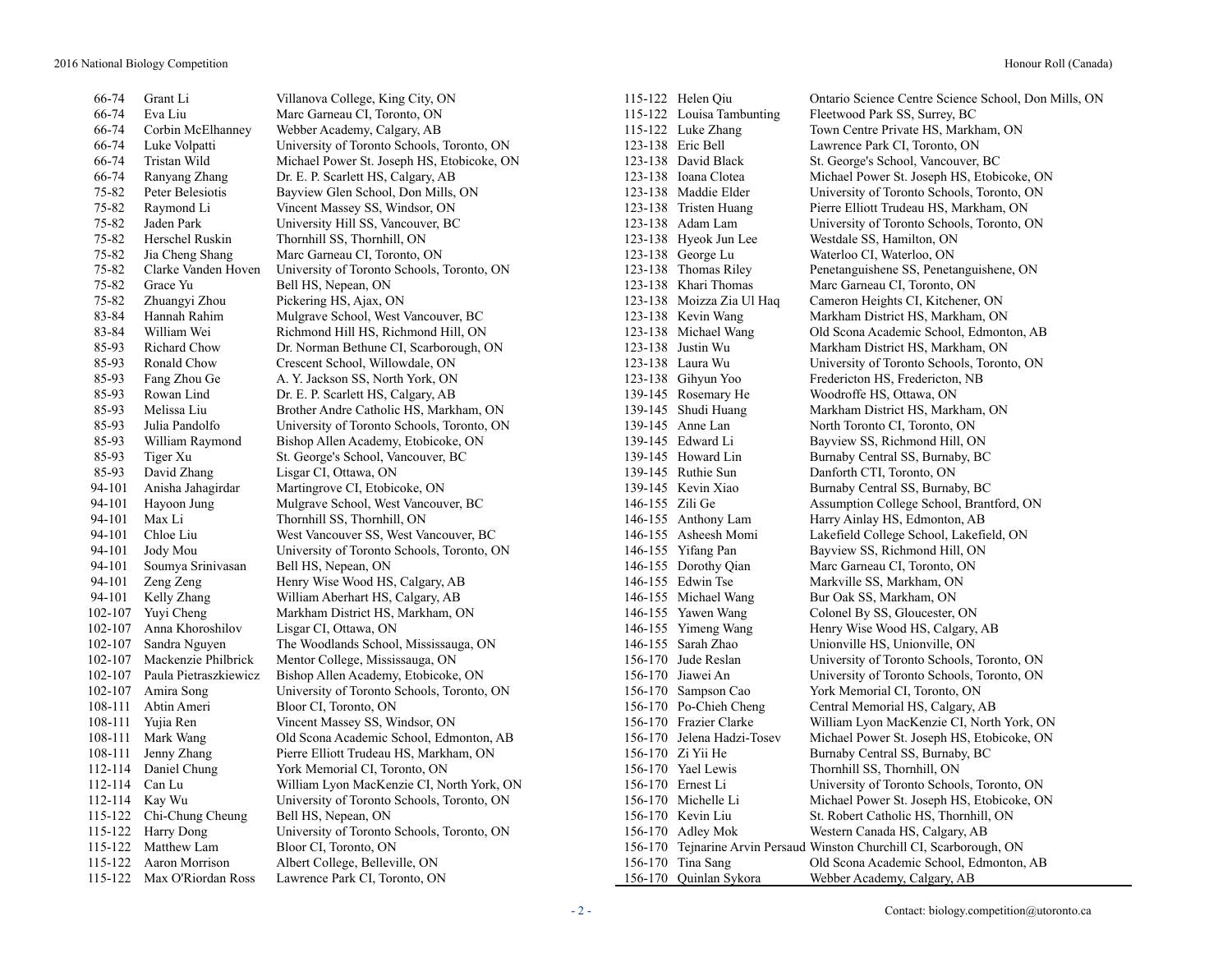66-74 Grant Li Villanova College, King City, ON 115-122 Helen Qiu Ontario Science Centre Science School, Don Mills, ON 66-74 Eva Liu Marc Garneau CI, Toronto, ON 115-122 Louisa Tambunting Fleetwood Park SS, Surrey, BC 66-74 Corbin McElhanney Webber Academy, Calgary, AB 115-122 Luke Zhang Town Centre Private HS, Markham, ON 66-74 Luke Volpatti University of Toronto Schools, Toronto, ON 123-138 Eric Bell Lawrence Park CI, Toronto, ON 66-74 Tristan Wild Michael Power St. Joseph HS, Etobicoke, ON 123-138 David Black St. George's School, Vancouver, BC 66-74 Ranyang Zhang Dr. E. P. Scarlett HS, Calgary, AB 123-138 Ioana Clotea Michael Power St. Joseph HS, Etobicoke, ON 75-82 Peter Belesiotis Bayview Glen School, Don Mills, ON 123-138 Maddie Elder University of Toronto Schools, Toronto, ON 75-82 Raymond Li Vincent Massey SS, Windsor, ON 123-138 Tristen Huang Pierre Elliott Trudeau HS, Markham, ON 75-82 Jaden Park University Hill SS, Vancouver, BC 123-138 Adam Lam University of Toronto Schools, Toronto, ON 75-82 Herschel Ruskin Thornhill SS, Thornhill, ON 123-138 Hyeok Jun Lee Westdale SS, Hamilton, ON 75-82 Jia Cheng Shang Marc Garneau CI, Toronto, ON 123-138 George Lu Waterloo CI, Waterloo, ON 75-82 Clarke Vanden Hoven University of Toronto Schools, Toronto, ON 123-138 Thomas Riley Penetanguishene SS, Penetanguishene, ON 75-82 Grace Yu Bell HS, Nepean, ON 123-138 Khari Thomas Marc Garneau CI, Toronto, ON 75-82 Zhuangyi Zhou Pickering HS, Ajax, ON 123-138 Moizza Zia Ul Haq Cameron Heights CI, Kitchener, ON 83-84 Hannah Rahim Mulgrave School, West Vancouver, BC 123-138 Kevin Wang Markham District HS, Markham, ON 83-84 William Wei Richmond Hill HS, Richmond Hill, ON 123-138 Michael Wang Old Scona Academic School, Edmonton, AB 85-93 Richard Chow Dr. Norman Bethune CI, Scarborough, ON 123-138 Justin Wu Markham District HS, Markham, ON 85-93 Ronald Chow Crescent School, Willowdale, ON 123-138 Laura Wu University of Toronto Schools, Toronto, ON 85-93 Fang Zhou Ge A. Y. Jackson SS, North York, ON 123-138 Gihyun Yoo Fredericton HS, Fredericton, NB 85-93 Rowan Lind Dr. E. P. Scarlett HS, Calgary, AB 139-145 Rosemary He Woodroffe HS, Ottawa, ON 85-93 Melissa Liu Brother Andre Catholic HS, Markham, ON 139-145 Shudi Huang Markham District HS, Markham, ON 85-93 Julia Pandolfo University of Toronto Schools, Toronto, ON 139-145 Anne Lan North Toronto CI, Toronto, ON 85-93 William Raymond Bishop Allen Academy, Etobicoke, ON 139-145 Edward Li Bayview SS, Richmond Hill, ON 85-93 Tiger Xu St. George's School, Vancouver, BC 139-145 Howard Lin Burnaby Central SS, Burnaby, BC 85-93 David Zhang Lisgar CI, Ottawa, ON 139-145 Ruthie Sun Danforth CTI, Toronto, ON 94-101 Anisha Jahagirdar Martingrove CI, Etobicoke, ON 139-145 Kevin Xiao Burnaby Central SS, Burnaby, BC 94-101 Hayoon Jung Mulgrave School, West Vancouver, BC 146-155 Zili Ge Assumption College School, Brantford, ON 94-101 Max Li Thornhill SS, Thornhill, ON 146-155 Anthony Lam Harry Ainlay HS, Edmonton, AB 94-101 Chloe Liu West Vancouver SS, West Vancouver, BC 146-155 Asheesh Momi Lakefield College School, Lakefield, ON 94-101 Jody Mou University of Toronto Schools, Toronto, ON 146-155 Yifang Pan Bayview SS, Richmond Hill, ON 94-101 Soumya Srinivasan Bell HS, Nepean, ON 146-155 Dorothy Qian Marc Garneau CI, Toronto, ON 94-101 Zeng Zeng Henry Wise Wood HS, Calgary, AB 146-155 Edwin Tse Markville SS, Markham, ON 94-101 Kelly Zhang William Aberhart HS, Calgary, AB 146-155 Michael Wang Bur Oak SS, Markham, ON 102-107 Yuyi Cheng Markham District HS, Markham, ON 146-155 Yawen Wang Colonel By SS, Gloucester, ON 102-107 Anna Khoroshilov Lisgar CI, Ottawa, ON 146-155 Yimeng Wang Henry Wise Wood HS, Calgary, AB 102-107 Sandra Nguyen The Woodlands School, Mississauga, ON 146-155 Sarah Zhao Unionville HS, Unionville, ON 102-107 Mackenzie Philbrick Mentor College, Mississauga, ON 156-170 Jude Reslan University of Toronto Schools, Toronto, ON 102-107 Paula Pietraszkiewicz Bishop Allen Academy, Etobicoke, ON 156-170 Jiawei An University of Toronto Schools, Toronto, ON 102-107 Amira Song University of Toronto Schools, Toronto, ON 156-170 Sampson Cao York Memorial CI, Toronto, ON 108-111 Abtin Ameri Bloor CI, Toronto, ON 156-170 Po-Chieh Cheng Central Memorial HS, Calgary, AB 108-111 Yujia Ren Vincent Massey SS, Windsor, ON 156-170 Frazier Clarke William Lyon MacKenzie CI, North York, ON 108-111 Mark Wang Old Scona Academic School, Edmonton, AB 156-170 Jelena Hadzi-Tosev Michael Power St. Joseph HS, Etobicoke, ON 108-111 Jenny Zhang Pierre Elliott Trudeau HS, Markham, ON 156-170 Zi Yii He Burnaby Central SS, Burnaby, BC 112-114 Daniel Chung York Memorial CI, Toronto, ON 156-170 Yael Lewis Thornhill SS, Thornhill, ON 112-114 Can Lu William Lyon MacKenzie CI, North York, ON 156-170 Ernest Li University of Toronto Schools, Toronto, ON 112-114 Kay Wu University of Toronto Schools, Toronto, ON 156-170 Michelle Li Michael Power St. Joseph HS, Etobicoke, ON 115-122 Chi-Chung Cheung Bell HS, Nepean, ON 156-170 Kevin Liu St. Robert Catholic HS, Thornhill, ON 115-122 Harry Dong University of Toronto Schools, Toronto, ON 156-170 Adley Mok Western Canada HS, Calgary, AB 115-122 Matthew Lam Bloor CI, Toronto, ON 156-170 Tejnarine Arvin Persaud Winston Churchill CI, Scarborough, ON 115-122 Aaron Morrison Albert College, Belleville, ON 156-170 Tina Sang Old Scona Academic School, Edmonton, AB 115-122 Max O'Riordan Ross Lawrence Park CI, Toronto, ON 156-170 Quinlan Sykora Webber Academy, Calgary, AB